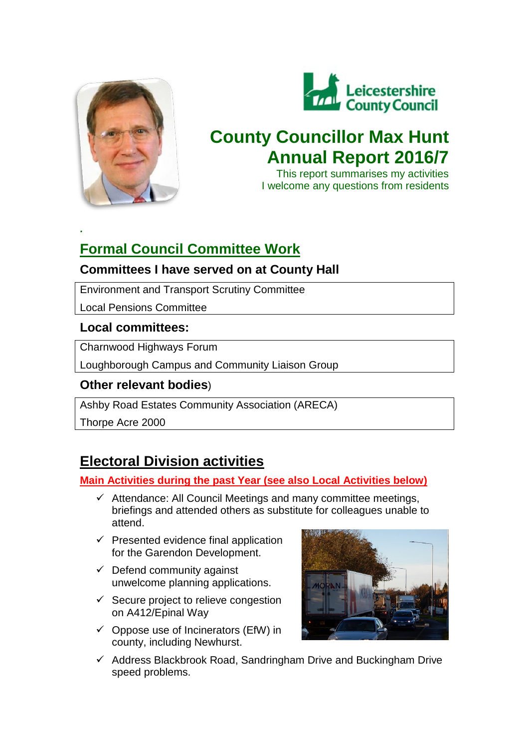

*.*



# **County Councillor Max Hunt Annual Report 2016/7**

This report summarises my activities I welcome any questions from residents

# **Formal Council Committee Work**

# **Committees I have served on at County Hall**

Environment and Transport Scrutiny Committee

Local Pensions Committee

# **Local committees:**

Charnwood Highways Forum

Loughborough Campus and Community Liaison Group

# **Other relevant bodies**)

Ashby Road Estates Community Association (ARECA)

Thorpe Acre 2000

# **Electoral Division activities**

# **Main Activities during the past Year (see also Local Activities below)**

- $\checkmark$  Attendance: All Council Meetings and many committee meetings, briefings and attended others as substitute for colleagues unable to attend.
- $\checkmark$  Presented evidence final application for the Garendon Development.
- $\checkmark$  Defend community against unwelcome planning applications.
- $\checkmark$  Secure project to relieve congestion on A412/Epinal Way
- $\checkmark$  Oppose use of Incinerators (EfW) in county, including Newhurst.



 $\checkmark$  Address Blackbrook Road, Sandringham Drive and Buckingham Drive speed problems.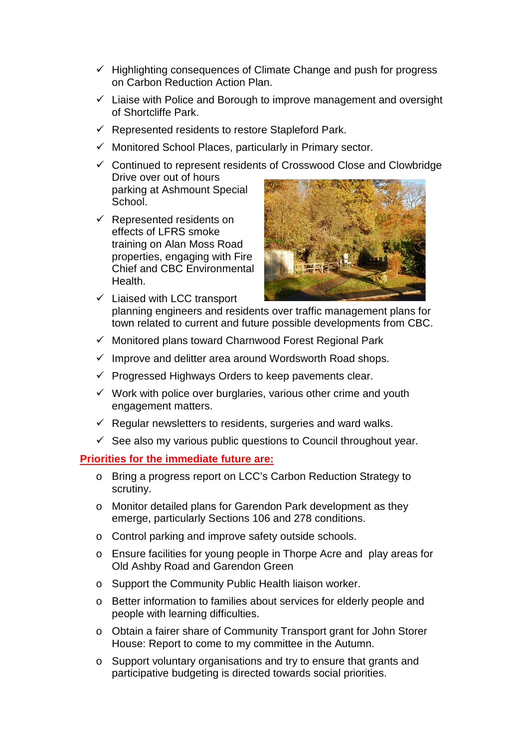- $\checkmark$  Highlighting consequences of Climate Change and push for progress on Carbon Reduction Action Plan.
- $\checkmark$  Liaise with Police and Borough to improve management and oversight of Shortcliffe Park.
- $\checkmark$  Represented residents to restore Stapleford Park.
- $\checkmark$  Monitored School Places, particularly in Primary sector.
- $\checkmark$  Continued to represent residents of Crosswood Close and Clowbridge Drive over out of hours parking at Ashmount Special School.
- $\checkmark$  Represented residents on effects of LFRS smoke training on Alan Moss Road properties, engaging with Fire Chief and CBC Environmental Health.



- $\checkmark$  Liaised with LCC transport planning engineers and residents over traffic management plans for town related to current and future possible developments from CBC.
- $\checkmark$  Monitored plans toward Charnwood Forest Regional Park
- $\checkmark$  Improve and delitter area around Wordsworth Road shops.
- $\checkmark$  Progressed Highways Orders to keep pavements clear.
- $\checkmark$  Work with police over burglaries, various other crime and youth engagement matters.
- $\checkmark$  Regular newsletters to residents, surgeries and ward walks.
- $\checkmark$  See also my various public questions to Council throughout year.

## **Priorities for the immediate future are:**

- o Bring a progress report on LCC's Carbon Reduction Strategy to scrutiny.
- o Monitor detailed plans for Garendon Park development as they emerge, particularly Sections 106 and 278 conditions.
- o Control parking and improve safety outside schools.
- o Ensure facilities for young people in Thorpe Acre and play areas for Old Ashby Road and Garendon Green
- o Support the Community Public Health liaison worker.
- o Better information to families about services for elderly people and people with learning difficulties.
- o Obtain a fairer share of Community Transport grant for John Storer House: Report to come to my committee in the Autumn.
- o Support voluntary organisations and try to ensure that grants and participative budgeting is directed towards social priorities.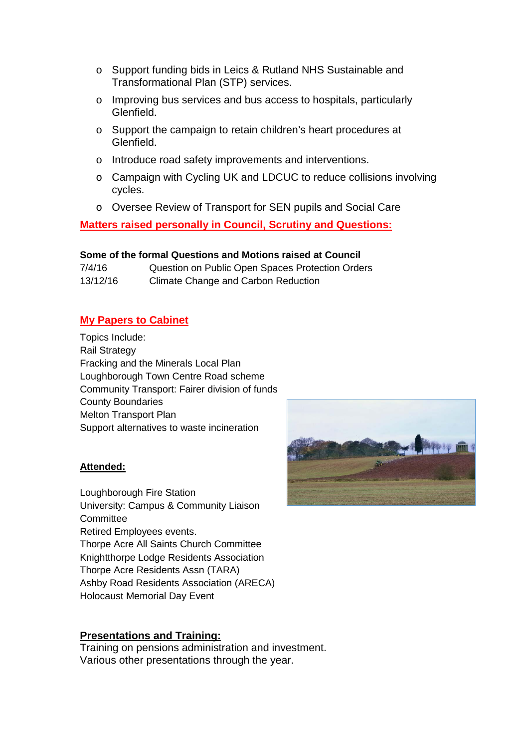- o Support funding bids in Leics & Rutland NHS Sustainable and Transformational Plan (STP) services.
- o Improving bus services and bus access to hospitals, particularly Glenfield.
- o Support the campaign to retain children's heart procedures at Glenfield.
- o Introduce road safety improvements and interventions.
- o Campaign with Cycling UK and LDCUC to reduce collisions involving cycles.
- o Oversee Review of Transport for SEN pupils and Social Care

**Matters raised personally in Council, Scrutiny and Questions:**

# **Some of the formal Questions and Motions raised at Council**

| 7/4/16   | Question on Public Open Spaces Protection Orders |
|----------|--------------------------------------------------|
| 13/12/16 | Climate Change and Carbon Reduction              |

# **My Papers to Cabinet**

Topics Include: Rail Strategy Fracking and the Minerals Local Plan Loughborough Town Centre Road scheme Community Transport: Fairer division of funds County Boundaries Melton Transport Plan Support alternatives to waste incineration

## **Attended:**

Loughborough Fire Station University: Campus & Community Liaison **Committee** Retired Employees events. Thorpe Acre All Saints Church Committee Knightthorpe Lodge Residents Association Thorpe Acre Residents Assn (TARA) Ashby Road Residents Association (ARECA) Holocaust Memorial Day Event

# **Presentations and Training:**

Training on pensions administration and investment. Various other presentations through the year.

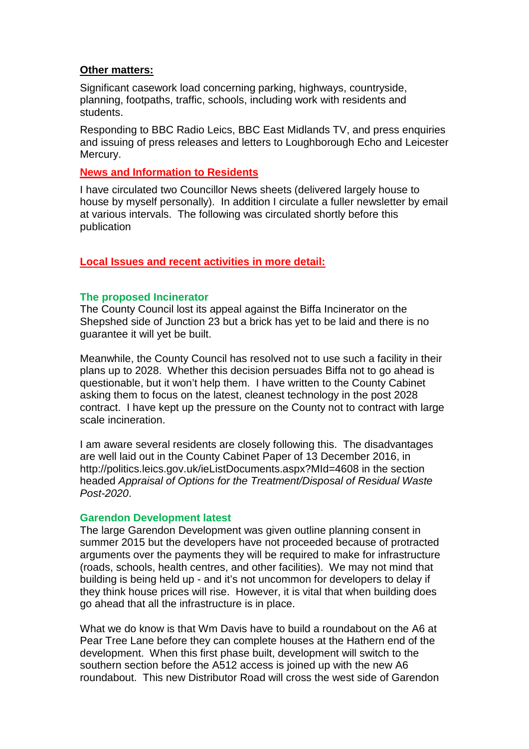# **Other matters:**

Significant casework load concerning parking, highways, countryside, planning, footpaths, traffic, schools, including work with residents and students.

Responding to BBC Radio Leics, BBC East Midlands TV, and press enquiries and issuing of press releases and letters to Loughborough Echo and Leicester Mercury.

# **News and Information to Residents**

I have circulated two Councillor News sheets (delivered largely house to house by myself personally). In addition I circulate a fuller newsletter by email at various intervals. The following was circulated shortly before this publication

# **Local Issues and recent activities in more detail:**

# **The proposed Incinerator**

The County Council lost its appeal against the Biffa Incinerator on the Shepshed side of Junction 23 but a brick has yet to be laid and there is no guarantee it will yet be built.

Meanwhile, the County Council has resolved not to use such a facility in their plans up to 2028. Whether this decision persuades Biffa not to go ahead is questionable, but it won't help them. I have written to the County Cabinet asking them to focus on the latest, cleanest technology in the post 2028 contract. I have kept up the pressure on the County not to contract with large scale incineration.

I am aware several residents are closely following this. The disadvantages are well laid out in the County Cabinet Paper of 13 December 2016, in http://politics.leics.gov.uk/ieListDocuments.aspx?MId=4608 in the section headed *Appraisal of Options for the Treatment/Disposal of Residual Waste Post-2020*.

## **Garendon Development latest**

The large Garendon Development was given outline planning consent in summer 2015 but the developers have not proceeded because of protracted arguments over the payments they will be required to make for infrastructure (roads, schools, health centres, and other facilities). We may not mind that building is being held up - and it's not uncommon for developers to delay if they think house prices will rise. However, it is vital that when building does go ahead that all the infrastructure is in place.

What we do know is that Wm Davis have to build a roundabout on the A6 at Pear Tree Lane before they can complete houses at the Hathern end of the development. When this first phase built, development will switch to the southern section before the A512 access is joined up with the new A6 roundabout. This new Distributor Road will cross the west side of Garendon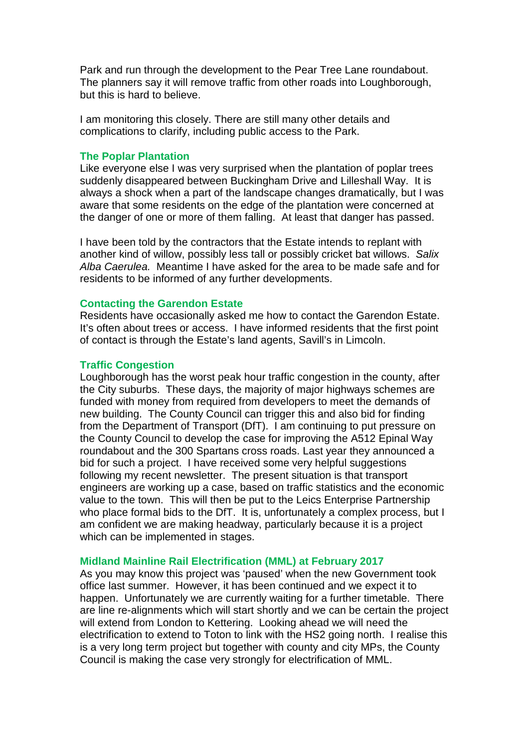Park and run through the development to the Pear Tree Lane roundabout. The planners say it will remove traffic from other roads into Loughborough, but this is hard to believe.

I am monitoring this closely. There are still many other details and complications to clarify, including public access to the Park.

#### **The Poplar Plantation**

Like everyone else I was very surprised when the plantation of poplar trees suddenly disappeared between Buckingham Drive and Lilleshall Way. It is always a shock when a part of the landscape changes dramatically, but I was aware that some residents on the edge of the plantation were concerned at the danger of one or more of them falling. At least that danger has passed.

I have been told by the contractors that the Estate intends to replant with another kind of willow, possibly less tall or possibly cricket bat willows. *Salix Alba Caerulea.* Meantime I have asked for the area to be made safe and for residents to be informed of any further developments.

#### **Contacting the Garendon Estate**

Residents have occasionally asked me how to contact the Garendon Estate. It's often about trees or access. I have informed residents that the first point of contact is through the Estate's land agents, Savill's in Limcoln.

#### **Traffic Congestion**

Loughborough has the worst peak hour traffic congestion in the county, after the City suburbs. These days, the majority of major highways schemes are funded with money from required from developers to meet the demands of new building. The County Council can trigger this and also bid for finding from the Department of Transport (DfT). I am continuing to put pressure on the County Council to develop the case for improving the A512 Epinal Way roundabout and the 300 Spartans cross roads. Last year they announced a bid for such a project. I have received some very helpful suggestions following my recent newsletter. The present situation is that transport engineers are working up a case, based on traffic statistics and the economic value to the town. This will then be put to the Leics Enterprise Partnership who place formal bids to the DfT. It is, unfortunately a complex process, but I am confident we are making headway, particularly because it is a project which can be implemented in stages.

#### **Midland Mainline Rail Electrification (MML) at February 2017**

As you may know this project was 'paused' when the new Government took office last summer. However, it has been continued and we expect it to happen. Unfortunately we are currently waiting for a further timetable. There are line re-alignments which will start shortly and we can be certain the project will extend from London to Kettering. Looking ahead we will need the electrification to extend to Toton to link with the HS2 going north. I realise this is a very long term project but together with county and city MPs, the County Council is making the case very strongly for electrification of MML.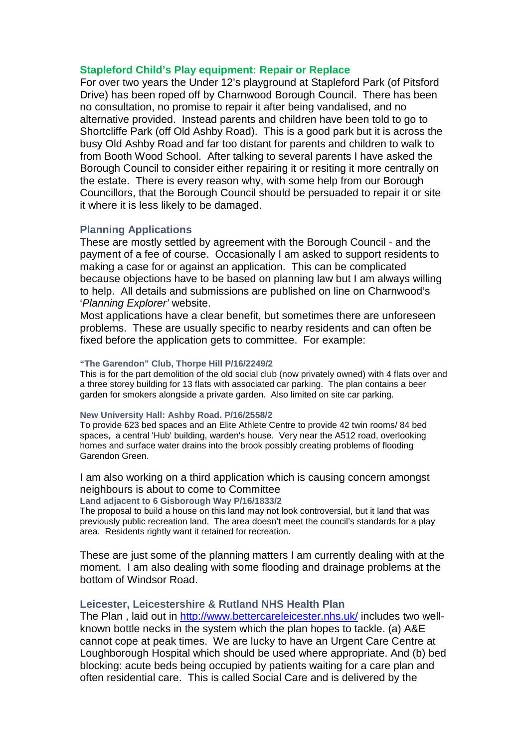#### **Stapleford Child's Play equipment: Repair or Replace**

For over two years the Under 12's playground at Stapleford Park (of Pitsford Drive) has been roped off by Charnwood Borough Council. There has been no consultation, no promise to repair it after being vandalised, and no alternative provided. Instead parents and children have been told to go to Shortcliffe Park (off Old Ashby Road). This is a good park but it is across the busy Old Ashby Road and far too distant for parents and children to walk to from Booth Wood School. After talking to several parents I have asked the Borough Council to consider either repairing it or resiting it more centrally on the estate. There is every reason why, with some help from our Borough Councillors, that the Borough Council should be persuaded to repair it or site it where it is less likely to be damaged.

## **Planning Applications**

These are mostly settled by agreement with the Borough Council - and the payment of a fee of course. Occasionally I am asked to support residents to making a case for or against an application. This can be complicated because objections have to be based on planning law but I am always willing to help. All details and submissions are published on line on Charnwood's '*Planning Explorer'* website.

Most applications have a clear benefit, but sometimes there are unforeseen problems. These are usually specific to nearby residents and can often be fixed before the application gets to committee. For example:

#### **"The Garendon" Club, Thorpe Hill P/16/2249/2**

This is for the part demolition of the old social club (now privately owned) with 4 flats over and a three storey building for 13 flats with associated car parking. The plan contains a beer garden for smokers alongside a private garden. Also limited on site car parking.

#### **New University Hall: Ashby Road. P/16/2558/2**

To provide 623 bed spaces and an Elite Athlete Centre to provide 42 twin rooms/ 84 bed spaces, a central 'Hub' building, warden's house. Very near the A512 road, overlooking homes and surface water drains into the brook possibly creating problems of flooding Garendon Green.

I am also working on a third application which is causing concern amongst neighbours is about to come to Committee

**Land adjacent to 6 Gisborough Way P/16/1833/2**

The proposal to build a house on this land may not look controversial, but it land that was previously public recreation land. The area doesn't meet the council's standards for a play area. Residents rightly want it retained for recreation.

These are just some of the planning matters I am currently dealing with at the moment. I am also dealing with some flooding and drainage problems at the bottom of Windsor Road.

#### **Leicester, Leicestershire & Rutland NHS Health Plan**

The Plan , laid out in<http://www.bettercareleicester.nhs.uk/> includes two wellknown bottle necks in the system which the plan hopes to tackle. (a) A&E cannot cope at peak times. We are lucky to have an Urgent Care Centre at Loughborough Hospital which should be used where appropriate. And (b) bed blocking: acute beds being occupied by patients waiting for a care plan and often residential care. This is called Social Care and is delivered by the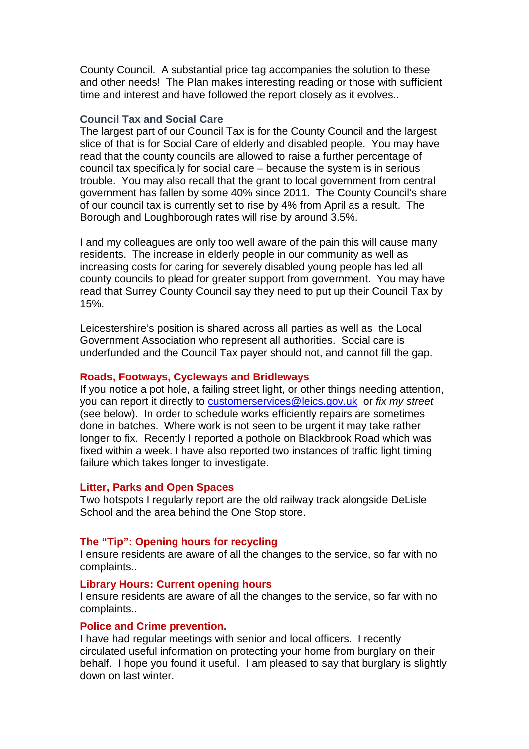County Council. A substantial price tag accompanies the solution to these and other needs! The Plan makes interesting reading or those with sufficient time and interest and have followed the report closely as it evolves..

#### **Council Tax and Social Care**

The largest part of our Council Tax is for the County Council and the largest slice of that is for Social Care of elderly and disabled people. You may have read that the county councils are allowed to raise a further percentage of council tax specifically for social care – because the system is in serious trouble. You may also recall that the grant to local government from central government has fallen by some 40% since 2011. The County Council's share of our council tax is currently set to rise by 4% from April as a result. The Borough and Loughborough rates will rise by around 3.5%.

I and my colleagues are only too well aware of the pain this will cause many residents. The increase in elderly people in our community as well as increasing costs for caring for severely disabled young people has led all county councils to plead for greater support from government. You may have read that Surrey County Council say they need to put up their Council Tax by 15%.

Leicestershire's position is shared across all parties as well as the Local Government Association who represent all authorities. Social care is underfunded and the Council Tax payer should not, and cannot fill the gap.

## **Roads, Footways, Cycleways and Bridleways**

If you notice a pot hole, a failing street light, or other things needing attention, you can report it directly to [customerservices@leics.gov.uk](mailto:customerservices@leics.gov.uk) or *fix my street* (see below). In order to schedule works efficiently repairs are sometimes done in batches. Where work is not seen to be urgent it may take rather longer to fix. Recently I reported a pothole on Blackbrook Road which was fixed within a week. I have also reported two instances of traffic light timing failure which takes longer to investigate.

#### **Litter, Parks and Open Spaces**

Two hotspots I regularly report are the old railway track alongside DeLisle School and the area behind the One Stop store.

# **The "Tip": Opening hours for recycling**

I ensure residents are aware of all the changes to the service, so far with no complaints..

#### **Library Hours: Current opening hours**

I ensure residents are aware of all the changes to the service, so far with no complaints..

#### **Police and Crime prevention.**

I have had regular meetings with senior and local officers. I recently circulated useful information on protecting your home from burglary on their behalf. I hope you found it useful. I am pleased to say that burglary is slightly down on last winter.